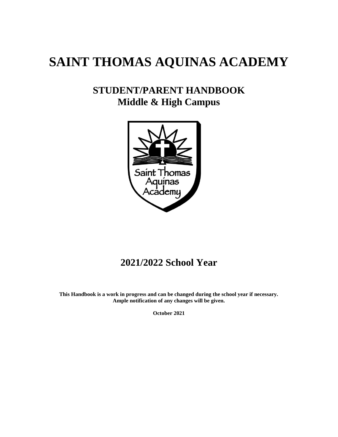# **SAINT THOMAS AQUINAS ACADEMY**

# **STUDENT/PARENT HANDBOOK Middle & High Campus**



# **2021/2022 School Year**

**This Handbook is a work in progress and can be changed during the school year if necessary. Ample notification of any changes will be given.**

**October 2021**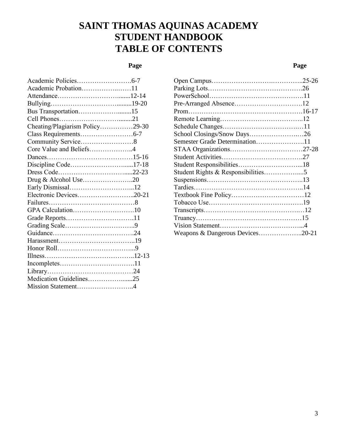# **SAINT THOMAS AQUINAS ACADEMY STUDENT HANDBOOK TABLE OF CONTENTS**

## **Page**

## **Page**

| Academic Probation11            |  |
|---------------------------------|--|
|                                 |  |
|                                 |  |
| Bus Transportation15            |  |
|                                 |  |
| Cheating/Plagiarism Policy29-30 |  |
|                                 |  |
| Community Service8              |  |
| Core Value and Beliefs4         |  |
|                                 |  |
| Discipline Code17-18            |  |
|                                 |  |
| Drug & Alcohol Use20            |  |
|                                 |  |
| Electronic Devices20-21         |  |
|                                 |  |
| GPA Calculation10               |  |
| Grade Reports11                 |  |
|                                 |  |
|                                 |  |
|                                 |  |
|                                 |  |
|                                 |  |
|                                 |  |
|                                 |  |
| Medication Guidelines25         |  |
| Mission Statement4              |  |
|                                 |  |

| School Closings/Snow Days26      |  |
|----------------------------------|--|
| Semester Grade Determination11   |  |
|                                  |  |
|                                  |  |
|                                  |  |
|                                  |  |
|                                  |  |
|                                  |  |
|                                  |  |
|                                  |  |
|                                  |  |
|                                  |  |
|                                  |  |
| Weapons & Dangerous Devices20-21 |  |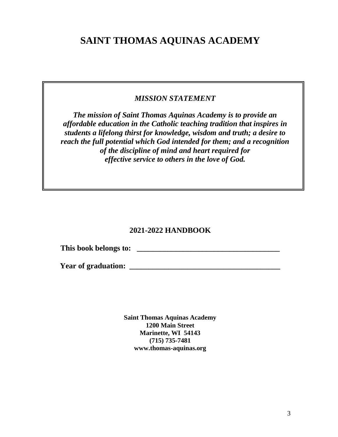# **SAINT THOMAS AQUINAS ACADEMY**

## *MISSION STATEMENT*

*The mission of Saint Thomas Aquinas Academy is to provide an affordable education in the Catholic teaching tradition that inspires in students a lifelong thirst for knowledge, wisdom and truth; a desire to reach the full potential which God intended for them; and a recognition of the discipline of mind and heart required for effective service to others in the love of God.*

## **2021-2022 HANDBOOK**

**This book belongs to: \_\_\_\_\_\_\_\_\_\_\_\_\_\_\_\_\_\_\_\_\_\_\_\_\_\_\_\_\_\_\_\_\_\_\_\_\_**

**Year of graduation: \_\_\_\_\_\_\_\_\_\_\_\_\_\_\_\_\_\_\_\_\_\_\_\_\_\_\_\_\_\_\_\_\_\_\_\_\_\_\_**

**Saint Thomas Aquinas Academy 1200 Main Street Marinette, WI 54143 (715) 735-7481 www.thomas-aquinas.org**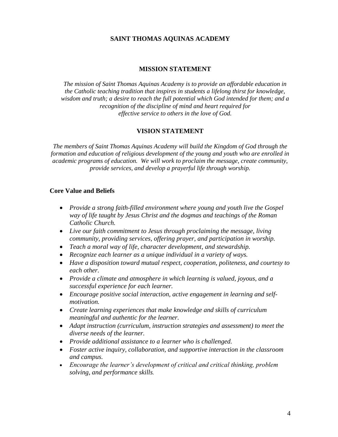## **SAINT THOMAS AQUINAS ACADEMY**

#### **MISSION STATEMENT**

*The mission of Saint Thomas Aquinas Academy is to provide an affordable education in the Catholic teaching tradition that inspires in students a lifelong thirst for knowledge, wisdom and truth; a desire to reach the full potential which God intended for them; and a recognition of the discipline of mind and heart required for effective service to others in the love of God.*

### **VISION STATEMENT**

*The members of Saint Thomas Aquinas Academy will build the Kingdom of God through the formation and education of religious development of the young and youth who are enrolled in academic programs of education. We will work to proclaim the message, create community, provide services, and develop a prayerful life through worship.*

#### **Core Value and Beliefs**

- *Provide a strong faith-filled environment where young and youth live the Gospel way of life taught by Jesus Christ and the dogmas and teachings of the Roman Catholic Church.*
- *Live our faith commitment to Jesus through proclaiming the message, living community, providing services, offering prayer, and participation in worship.*
- *Teach a moral way of life, character development, and stewardship.*
- *Recognize each learner as a unique individual in a variety of ways.*
- *Have a disposition toward mutual respect, cooperation, politeness, and courtesy to each other.*
- *Provide a climate and atmosphere in which learning is valued, joyous, and a successful experience for each learner.*
- *Encourage positive social interaction, active engagement in learning and selfmotivation.*
- *Create learning experiences that make knowledge and skills of curriculum meaningful and authentic for the learner.*
- *Adapt instruction (curriculum, instruction strategies and assessment) to meet the diverse needs of the learner.*
- *Provide additional assistance to a learner who is challenged.*
- *Foster active inquiry, collaboration, and supportive interaction in the classroom and campus.*
- *Encourage the learner's development of critical and critical thinking, problem solving, and performance skills.*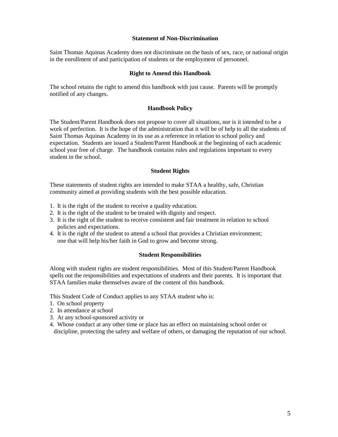#### **Statement of Non-Discrimination**

Saint Thomas Aquinas Academy does not discriminate on the basis of sex, race, or national origin in the enrollment of and participation of students or the employment of personnel.

#### **Right to Amend this Handbook**

The school retains the right to amend this handbook with just cause. Parents will be promptly notified of any changes.

#### **Handbook Policy**

The Student/Parent Handbook does not propose to cover all situations, nor is it intended to be a work of perfection. It is the hope of the administration that it will be of help to all the students of Saint Thomas Aquinas Academy in its use as a reference in relation to school policy and expectation. Students are issued a Student/Parent Handbook at the beginning of each academic school year free of charge. The handbook contains rules and regulations important to every student in the school.

#### **Student Rights**

These statements of student rights are intended to make STAA a healthy, safe, Christian community aimed at providing students with the best possible education.

- 1. It is the right of the student to receive a quality education.
- 2. It is the right of the student to be treated with dignity and respect.
- 3. It is the right of the student to receive consistent and fair treatment in relation to school policies and expectations.
- 4. It is the right of the student to attend a school that provides a Christian environment; one that will help his/her faith in God to grow and become strong.

#### **Student Responsibilities**

Along with student rights are student responsibilities. Most of this Student/Parent Handbook spells out the responsibilities and expectations of students and their parents. It is important that STAA families make themselves aware of the content of this handbook.

This Student Code of Conduct applies to any STAA student who is:

- 1. On school property
- 2. In attendance at school
- 3. At any school-sponsored activity or
- 4. Whose conduct at any other time or place has an effect on maintaining school order or discipline, protecting the safety and welfare of others, or damaging the reputation of our school.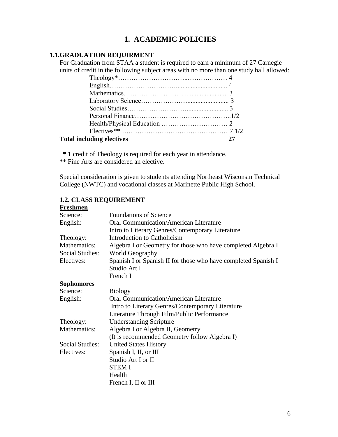## **1. ACADEMIC POLICIES**

## **1.1.GRADUATION REQUIRMENT**

For Graduation from STAA a student is required to earn a minimum of 27 Carnegie units of credit in the following subject areas with no more than one study hall allowed:

| <b>Total including electives</b> |  |
|----------------------------------|--|

 **\*** 1 credit of Theology is required for each year in attendance.

\*\* Fine Arts are considered an elective.

Special consideration is given to students attending Northeast Wisconsin Technical College (NWTC) and vocational classes at Marinette Public High School.

| т гемпиен              |                                                                |
|------------------------|----------------------------------------------------------------|
| Science:               | <b>Foundations of Science</b>                                  |
| English:               | Oral Communication/American Literature                         |
|                        | Intro to Literary Genres/Contemporary Literature               |
| Theology:              | Introduction to Catholicism                                    |
| Mathematics:           | Algebra I or Geometry for those who have completed Algebra I   |
| <b>Social Studies:</b> | World Geography                                                |
| Electives:             | Spanish I or Spanish II for those who have completed Spanish I |
|                        | Studio Art I                                                   |
|                        | French I                                                       |
| <b>Sophomores</b>      |                                                                |
| Science:               | <b>Biology</b>                                                 |
| English:               | <b>Oral Communication/American Literature</b>                  |
|                        | Intro to Literary Genres/Contemporary Literature               |
|                        | Literature Through Film/Public Performance                     |
| Theology:              | <b>Understanding Scripture</b>                                 |
| Mathematics:           | Algebra I or Algebra II, Geometry                              |
|                        | (It is recommended Geometry follow Algebra I)                  |
| Social Studies:        | <b>United States History</b>                                   |
| Electives:             | Spanish I, II, or III                                          |
|                        | Studio Art I or II                                             |
|                        | <b>STEM I</b>                                                  |
|                        | Health                                                         |
|                        | French I, II or III                                            |

#### **1.2. CLASS REQUIREMENT Freshmen**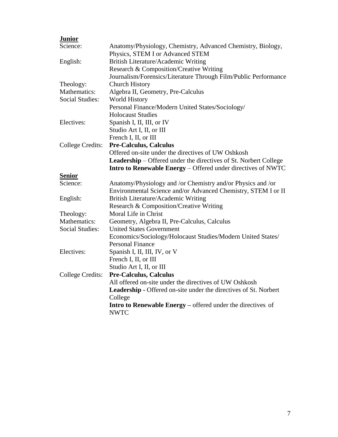| Anatomy/Physiology, Chemistry, Advanced Chemistry, Biology,             |
|-------------------------------------------------------------------------|
| Physics, STEM I or Advanced STEM                                        |
| British Literature/Academic Writing                                     |
| Research & Composition/Creative Writing                                 |
| Journalism/Forensics/Literature Through Film/Public Performance         |
| <b>Church History</b>                                                   |
| Algebra II, Geometry, Pre-Calculus                                      |
| <b>World History</b>                                                    |
| Personal Finance/Modern United States/Sociology/                        |
| <b>Holocaust Studies</b>                                                |
| Spanish I, II, III, or IV                                               |
| Studio Art I, II, or III                                                |
| French I, II, or III                                                    |
| <b>Pre-Calculus, Calculus</b>                                           |
| Offered on-site under the directives of UW Oshkosh                      |
| <b>Leadership</b> – Offered under the directives of St. Norbert College |
| Intro to Renewable Energy - Offered under directives of NWTC            |
|                                                                         |
| Anatomy/Physiology and /or Chemistry and/or Physics and /or             |
| Environmental Science and/or Advanced Chemistry, STEM I or II           |
| British Literature/Academic Writing                                     |
| Research & Composition/Creative Writing                                 |
| Moral Life in Christ                                                    |
| Geometry, Algebra II, Pre-Calculus, Calculus                            |
| <b>United States Government</b>                                         |
| Economics/Sociology/Holocaust Studies/Modern United States/             |
| <b>Personal Finance</b>                                                 |
| Spanish I, II, III, IV, or V                                            |
| French I, II, or III                                                    |
| Studio Art I, II, or III                                                |
| <b>Pre-Calculus, Calculus</b>                                           |
| All offered on-site under the directives of UW Oshkosh                  |
| <b>Leadership -</b> Offered on-site under the directives of St. Norbert |
| College                                                                 |
| Intro to Renewable Energy – offered under the directives of             |
| <b>NWTC</b>                                                             |
|                                                                         |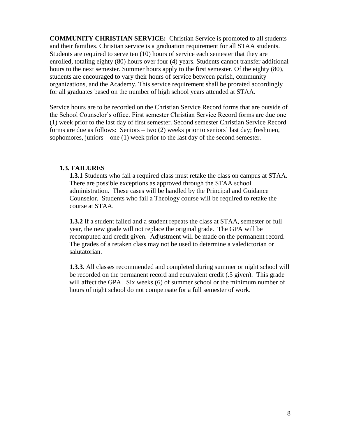**COMMUNITY CHRISTIAN SERVICE:** Christian Service is promoted to all students and their families. Christian service is a graduation requirement for all STAA students. Students are required to serve ten (10) hours of service each semester that they are enrolled, totaling eighty (80) hours over four (4) years. Students cannot transfer additional hours to the next semester. Summer hours apply to the first semester. Of the eighty (80), students are encouraged to vary their hours of service between parish, community organizations, and the Academy. This service requirement shall be prorated accordingly for all graduates based on the number of high school years attended at STAA.

Service hours are to be recorded on the Christian Service Record forms that are outside of the School Counselor's office. First semester Christian Service Record forms are due one (1) week prior to the last day of first semester. Second semester Christian Service Record forms are due as follows: Seniors – two (2) weeks prior to seniors' last day; freshmen, sophomores, juniors – one (1) week prior to the last day of the second semester.

## **1.3. FAILURES**

**1.3.1** Students who fail a required class must retake the class on campus at STAA. There are possible exceptions as approved through the STAA school administration. These cases will be handled by the Principal and Guidance Counselor. Students who fail a Theology course will be required to retake the course at STAA.

**1.3.2** If a student failed and a student repeats the class at STAA, semester or full year, the new grade will not replace the original grade. The GPA will be recomputed and credit given. Adjustment will be made on the permanent record. The grades of a retaken class may not be used to determine a valedictorian or salutatorian.

**1.3.3.** All classes recommended and completed during summer or night school will be recorded on the permanent record and equivalent credit (.5 given). This grade will affect the GPA. Six weeks (6) of summer school or the minimum number of hours of night school do not compensate for a full semester of work.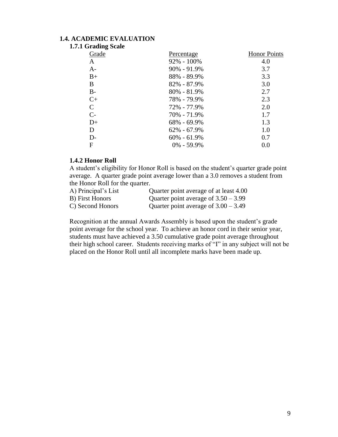## **1.4. ACADEMIC EVALUATION**

|  |  |  | 1.7.1 Grading Scale |
|--|--|--|---------------------|
|--|--|--|---------------------|

| ີ<br>Grade    | Percentage      | <b>Honor Points</b> |
|---------------|-----------------|---------------------|
| A             | $92\% - 100\%$  | 4.0                 |
| $A-$          | $90\% - 91.9\%$ | 3.7                 |
| $B+$          | 88% - 89.9%     | 3.3                 |
| B             | $82\% - 87.9\%$ | 3.0                 |
| $B -$         | $80\% - 81.9\%$ | 2.7                 |
| $C+$          | 78% - 79.9%     | 2.3                 |
| $\mathcal{C}$ | 72% - 77.9%     | 2.0                 |
| $C-$          | 70% - 71.9%     | 1.7                 |
| $D+$          | $68\% - 69.9\%$ | 1.3                 |
| D             | $62\% - 67.9\%$ | 1.0                 |
| $D-$          | $60\% - 61.9\%$ | 0.7                 |
| F             | $0\% - 59.9\%$  | 0.0                 |

#### **1.4.2 Honor Roll**

A student's eligibility for Honor Roll is based on the student's quarter grade point average. A quarter grade point average lower than a 3.0 removes a student from the Honor Roll for the quarter.

| A) Principal's List | Quarter point average of at least 4.00 |
|---------------------|----------------------------------------|
| B) First Honors     | Quarter point average of $3.50 - 3.99$ |
| C) Second Honors    | Quarter point average of $3.00 - 3.49$ |

Recognition at the annual Awards Assembly is based upon the student's grade point average for the school year. To achieve an honor cord in their senior year, students must have achieved a 3.50 cumulative grade point average throughout their high school career. Students receiving marks of "I" in any subject will not be placed on the Honor Roll until all incomplete marks have been made up.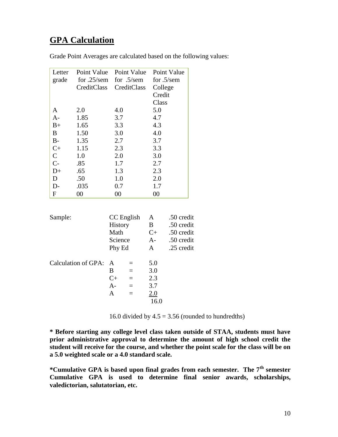# **GPA Calculation**

|  | Grade Point Averages are calculated based on the following values: |  |  |
|--|--------------------------------------------------------------------|--|--|
|  |                                                                    |  |  |

| Letter       | Point Value    | Point Value                          |                                | Point Value                            |
|--------------|----------------|--------------------------------------|--------------------------------|----------------------------------------|
| grade        | for $.25$ /sem | for $.5$ /sem                        |                                | for $.5$ /sem                          |
|              | CreditClass    | CreditClass                          | College                        |                                        |
|              |                |                                      | Credit                         |                                        |
|              |                |                                      | Class                          |                                        |
| A            | 2.0            | 4.0                                  | 5.0                            |                                        |
| $A-$         | 1.85           | 3.7                                  | 4.7                            |                                        |
| $B+$         | 1.65           | 3.3                                  | 4.3                            |                                        |
| B            | 1.50           | 3.0                                  | 4.0                            |                                        |
| $B-$         | 1.35           | 2.7                                  | 3.7                            |                                        |
| $C+$         | 1.15           | 2.3                                  | 3.3                            |                                        |
| $\mathsf{C}$ | 1.0            | 2.0                                  | 3.0                            |                                        |
| $C-$         | .85            | 1.7                                  | 2.7                            |                                        |
| $D+$         | .65            | 1.3                                  | 2.3                            |                                        |
| D            | .50            | 1.0                                  | 2.0                            |                                        |
| $D-$         | .035           | 0.7                                  | 1.7                            |                                        |
| $\mathbf F$  | $00\,$         | $00\,$                               | $00\,$                         |                                        |
| Sample:      |                | CC English<br><b>History</b><br>Math | A<br>$\mathbf{B}$<br>$C_{\pm}$ | .50 credit<br>.50 credit<br>.50 credit |
|              |                | Science                              | A-                             | .50 credit                             |

| Calculation of GPA: A |       |   | 5.0  |
|-----------------------|-------|---|------|
|                       | B     |   | 3.0  |
|                       | $C+$  | — | 2.3  |
|                       | $A -$ |   | 3.7  |
|                       | А     |   | 2.0  |
|                       |       |   | 16.0 |
|                       |       |   |      |

16.0 divided by  $4.5 = 3.56$  (rounded to hundredths)

**\* Before starting any college level class taken outside of STAA, students must have prior administrative approval to determine the amount of high school credit the student will receive for the course, and whether the point scale for the class will be on a 5.0 weighted scale or a 4.0 standard scale.**

Phy Ed A .25 credit

**\*Cumulative GPA is based upon final grades from each semester. The 7th semester Cumulative GPA is used to determine final senior awards, scholarships, valedictorian, salutatorian, etc.**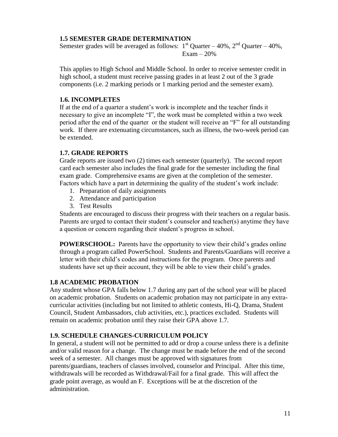## **1.5 SEMESTER GRADE DETERMINATION**

Semester grades will be averaged as follows:  $1<sup>st</sup>$  Quarter – 40%,  $2<sup>nd</sup>$  Quarter – 40%, Exam  $-20%$ 

This applies to High School and Middle School. In order to receive semester credit in high school, a student must receive passing grades in at least 2 out of the 3 grade components (i.e. 2 marking periods or 1 marking period and the semester exam).

## **1.6. INCOMPLETES**

If at the end of a quarter a student's work is incomplete and the teacher finds it necessary to give an incomplete "I", the work must be completed within a two week period after the end of the quarter or the student will receive an "F" for all outstanding work. If there are extenuating circumstances, such as illness, the two-week period can be extended.

## **1.7. GRADE REPORTS**

Grade reports are issued two (2) times each semester (quarterly). The second report card each semester also includes the final grade for the semester including the final exam grade. Comprehensive exams are given at the completion of the semester. Factors which have a part in determining the quality of the student's work include:

- 1. Preparation of daily assignments
- 2. Attendance and participation
- 3. Test Results

Students are encouraged to discuss their progress with their teachers on a regular basis. Parents are urged to contact their student's counselor and teacher(s) anytime they have a question or concern regarding their student's progress in school.

**POWERSCHOOL:** Parents have the opportunity to view their child's grades online through a program called PowerSchool. Students and Parents/Guardians will receive a letter with their child's codes and instructions for the program. Once parents and students have set up their account, they will be able to view their child's grades.

### **1.8 ACADEMIC PROBATION**

Any student whose GPA falls below 1.7 during any part of the school year will be placed on academic probation. Students on academic probation may not participate in any extracurricular activities (including but not limited to athletic contests, Hi-Q, Drama, Student Council, Student Ambassadors, club activities, etc.), practices excluded. Students will remain on academic probation until they raise their GPA above 1.7.

## **1.9. SCHEDULE CHANGES-CURRICULUM POLICY**

In general, a student will not be permitted to add or drop a course unless there is a definite and/or valid reason for a change. The change must be made before the end of the second week of a semester. All changes must be approved with signatures from parents/guardians, teachers of classes involved, counselor and Principal. After this time, withdrawals will be recorded as Withdrawal/Fail for a final grade. This will affect the grade point average, as would an F. Exceptions will be at the discretion of the administration.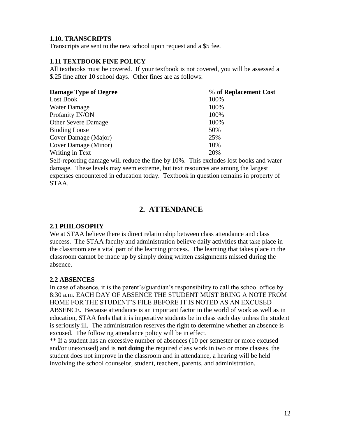## **1.10. TRANSCRIPTS**

Transcripts are sent to the new school upon request and a \$5 fee.

### **1.11 TEXTBOOK FINE POLICY**

All textbooks must be covered. If your textbook is not covered, you will be assessed a \$.25 fine after 10 school days. Other fines are as follows:

| <b>Damage Type of Degree</b> | % of Replacement Cost |
|------------------------------|-----------------------|
| Lost Book                    | 100%                  |
| Water Damage                 | 100%                  |
| Profanity IN/ON              | 100%                  |
| <b>Other Severe Damage</b>   | 100%                  |
| <b>Binding Loose</b>         | 50%                   |
| Cover Damage (Major)         | 25%                   |
| Cover Damage (Minor)         | 10%                   |
| Writing in Text              | 20%                   |

Self-reporting damage will reduce the fine by 10%. This excludes lost books and water damage. These levels may seem extreme, but text resources are among the largest expenses encountered in education today. Textbook in question remains in property of STAA.

## **2. ATTENDANCE**

#### **2.1 PHILOSOPHY**

We at STAA believe there is direct relationship between class attendance and class success. The STAA faculty and administration believe daily activities that take place in the classroom are a vital part of the learning process. The learning that takes place in the classroom cannot be made up by simply doing written assignments missed during the absence.

### **2.2 ABSENCES**

In case of absence, it is the parent's/guardian's responsibility to call the school office by 8:30 a.m. EACH DAY OF ABSENCE THE STUDENT MUST BRING A NOTE FROM HOME FOR THE STUDENT'S FILE BEFORE IT IS NOTED AS AN EXCUSED ABSENCE. Because attendance is an important factor in the world of work as well as in education, STAA feels that it is imperative students be in class each day unless the student is seriously ill. The administration reserves the right to determine whether an absence is excused. The following attendance policy will be in effect.

\*\* If a student has an excessive number of absences (10 per semester or more excused and/or unexcused) and is **not doing** the required class work in two or more classes, the student does not improve in the classroom and in attendance, a hearing will be held involving the school counselor, student, teachers, parents, and administration.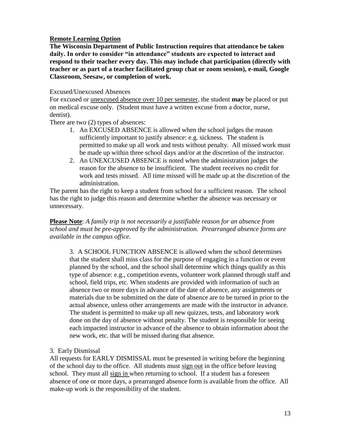## **Remote Learning Option**

**The Wisconsin Department of Public Instruction requires that attendance be taken daily. In order to consider "in attendance" students are expected to interact and respond to their teacher every day. This may include chat participation (directly with teacher or as part of a teacher facilitated group chat or zoom session), e-mail, Google Classroom, Seesaw, or completion of work.**

### Excused/Unexcused Absences

For excused or unexcused absence over 10 per semester, the student **may** be placed or put on medical excuse only. (Student must have a written excuse from a doctor, nurse, dentist).

There are two (2) types of absences:

- 1. An EXCUSED ABSENCE is allowed when the school judges the reason sufficiently important to justify absence: e.g. sickness. The student is permitted to make up all work and tests without penalty. All missed work must be made up within three school days and/or at the discretion of the instructor.
- 2. An UNEXCUSED ABSENCE is noted when the administration judges the reason for the absence to be insufficient. The student receives no credit for work and tests missed. All time missed will be made up at the discretion of the administration.

The parent has the right to keep a student from school for a sufficient reason. The school has the right to judge this reason and determine whether the absence was necessary or unnecessary.

**Please Note**: *A family trip is not necessarily a justifiable reason for an absence from school and must be pre-approved by the administration. Prearranged absence forms are available in the campus office.*

3. A SCHOOL FUNCTION ABSENCE is allowed when the school determines that the student shall miss class for the purpose of engaging in a function or event planned by the school, and the school shall determine which things qualify as this type of absence: e.g., competition events, volunteer work planned through staff and school, field trips, etc. When students are provided with information of such an absence two or more days in advance of the date of absence, any assignments or materials due to be submitted on the date of absence are to be turned in prior to the actual absence, unless other arrangements are made with the instructor in advance. The student is permitted to make up all new quizzes, tests, and laboratory work done on the day of absence without penalty. The student is responsible for seeing each impacted instructor in advance of the absence to obtain information about the new work, etc. that will be missed during that absence.

### 3. Early Dismissal

All requests for EARLY DISMISSAL must be presented in writing before the beginning of the school day to the office. All students must sign out in the office before leaving school. They must all sign in when returning to school. If a student has a foreseen absence of one or more days, a prearranged absence form is available from the office. All make-up work is the responsibility of the student.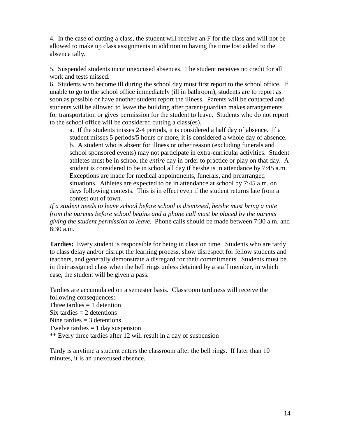4. In the case of cutting a class, the student will receive an F for the class and will not be allowed to make up class assignments in addition to having the time lost added to the absence tally.

5. Suspended students incur unexcused absences. The student receives no credit for all work and tests missed.

6. Students who become ill during the school day must first report to the school office. If unable to go to the school office immediately (ill in bathroom), students are to report as soon as possible or have another student report the illness. Parents will be contacted and students will be allowed to leave the building after parent/guardian makes arrangements for transportation or gives permission for the student to leave. Students who do not report to the school office will be considered cutting a class(es).

a. If the students misses 2-4 periods, it is considered a half day of absence. If a student misses 5 periods/5 hours or more, it is considered a whole day of absence. b. A student who is absent for illness or other reason (excluding funerals and school sponsored events) may not participate in extra-curricular activities. Student athletes must be in school the *entire* day in order to practice or play on that day. A student is considered to be in school all day if he/she is in attendance by 7:45 a.m. Exceptions are made for medical appointments, funerals, and prearranged situations. Athletes are expected to be in attendance at school by 7:45 a.m. on days following contests. This is in effect even if the student returns late from a contest out of town.

*If a student needs to leave school before school is dismissed, he/she must bring a note from the parents before school begins and a phone call must be placed by the parents giving the student permission to leave.* Phone calls should be made between 7:30 a.m. and  $8:30a.m.$ 

**Tardies:** Every student is responsible for being in class on time. Students who are tardy to class delay and/or disrupt the learning process, show disrespect for fellow students and teachers, and generally demonstrate a disregard for their commitments. Students must be in their assigned class when the bell rings unless detained by a staff member, in which case, the student will be given a pass.

Tardies are accumulated on a semester basis. Classroom tardiness will receive the following consequences: Three tardies  $= 1$  detention Six tardies  $= 2$  detentions Nine tardies  $=$  3 detentions Twelve tardies  $= 1$  day suspension \*\* Every three tardies after 12 will result in a day of suspension

Tardy is anytime a student enters the classroom after the bell rings. If later than 10 minutes, it is an unexcused absence.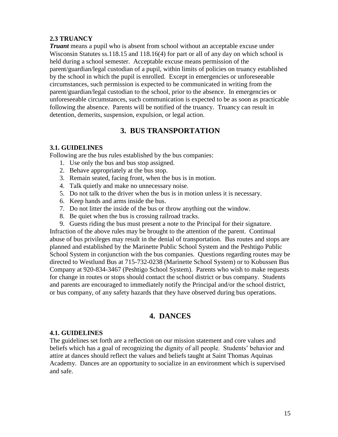## **2.3 TRUANCY**

*Truant* means a pupil who is absent from school without an acceptable excuse under Wisconsin Statutes ss.118.15 and 118.16(4) for part or all of any day on which school is held during a school semester. Acceptable excuse means permission of the parent/guardian/legal custodian of a pupil, within limits of policies on truancy established by the school in which the pupil is enrolled. Except in emergencies or unforeseeable circumstances, such permission is expected to be communicated in writing from the parent/guardian/legal custodian to the school, prior to the absence. In emergencies or unforeseeable circumstances, such communication is expected to be as soon as practicable following the absence. Parents will be notified of the truancy. Truancy can result in detention, demerits, suspension, expulsion, or legal action.

## **3. BUS TRANSPORTATION**

### **3.1. GUIDELINES**

Following are the bus rules established by the bus companies:

- 1. Use only the bus and bus stop assigned.
- 2. Behave appropriately at the bus stop.
- 3. Remain seated, facing front, when the bus is in motion.
- 4. Talk quietly and make no unnecessary noise.
- 5. Do not talk to the driver when the bus is in motion unless it is necessary.
- 6. Keep hands and arms inside the bus.
- 7. Do not litter the inside of the bus or throw anything out the window.
- 8. Be quiet when the bus is crossing railroad tracks.
- 9. Guests riding the bus must present a note to the Principal for their signature.

Infraction of the above rules may be brought to the attention of the parent. Continual abuse of bus privileges may result in the denial of transportation. Bus routes and stops are planned and established by the Marinette Public School System and the Peshtigo Public School System in conjunction with the bus companies. Questions regarding routes may be directed to Westlund Bus at 715-732-0238 (Marinette School System) or to Kobussen Bus Company at 920-834-3467 (Peshtigo School System). Parents who wish to make requests for change in routes or stops should contact the school district or bus company. Students and parents are encouraged to immediately notify the Principal and/or the school district, or bus company, of any safety hazards that they have observed during bus operations.

## **4. DANCES**

### **4.1. GUIDELINES**

The guidelines set forth are a reflection on our mission statement and core values and beliefs which has a goal of recognizing the dignity of all people. Students' behavior and attire at dances should reflect the values and beliefs taught at Saint Thomas Aquinas Academy. Dances are an opportunity to socialize in an environment which is supervised and safe.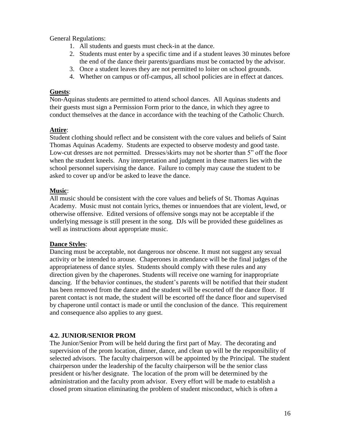General Regulations:

- 1. All students and guests must check-in at the dance.
- 2. Students must enter by a specific time and if a student leaves 30 minutes before the end of the dance their parents/guardians must be contacted by the advisor.
- 3. Once a student leaves they are not permitted to loiter on school grounds.
- 4. Whether on campus or off-campus, all school policies are in effect at dances.

### **Guests**:

Non-Aquinas students are permitted to attend school dances. All Aquinas students and their guests must sign a Permission Form prior to the dance, in which they agree to conduct themselves at the dance in accordance with the teaching of the Catholic Church.

## **Attire**:

Student clothing should reflect and be consistent with the core values and beliefs of Saint Thomas Aquinas Academy. Students are expected to observe modesty and good taste. Low-cut dresses are not permitted. Dresses/skirts may not be shorter than 5" off the floor when the student kneels. Any interpretation and judgment in these matters lies with the school personnel supervising the dance. Failure to comply may cause the student to be asked to cover up and/or be asked to leave the dance.

## **Music**:

All music should be consistent with the core values and beliefs of St. Thomas Aquinas Academy. Music must not contain lyrics, themes or innuendoes that are violent, lewd, or otherwise offensive. Edited versions of offensive songs may not be acceptable if the underlying message is still present in the song. DJs will be provided these guidelines as well as instructions about appropriate music.

## **Dance Styles**:

Dancing must be acceptable, not dangerous nor obscene. It must not suggest any sexual activity or be intended to arouse. Chaperones in attendance will be the final judges of the appropriateness of dance styles. Students should comply with these rules and any direction given by the chaperones. Students will receive one warning for inappropriate dancing. If the behavior continues, the student's parents will be notified that their student has been removed from the dance and the student will be escorted off the dance floor. If parent contact is not made, the student will be escorted off the dance floor and supervised by chaperone until contact is made or until the conclusion of the dance. This requirement and consequence also applies to any guest.

## **4.2. JUNIOR/SENIOR PROM**

The Junior/Senior Prom will be held during the first part of May. The decorating and supervision of the prom location, dinner, dance, and clean up will be the responsibility of selected advisors. The faculty chairperson will be appointed by the Principal. The student chairperson under the leadership of the faculty chairperson will be the senior class president or his/her designate. The location of the prom will be determined by the administration and the faculty prom advisor. Every effort will be made to establish a closed prom situation eliminating the problem of student misconduct, which is often a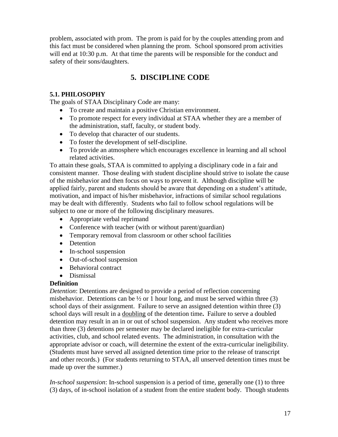problem, associated with prom. The prom is paid for by the couples attending prom and this fact must be considered when planning the prom. School sponsored prom activities will end at 10:30 p.m. At that time the parents will be responsible for the conduct and safety of their sons/daughters.

## **5. DISCIPLINE CODE**

## **5.1. PHILOSOPHY**

The goals of STAA Disciplinary Code are many:

- To create and maintain a positive Christian environment.
- To promote respect for every individual at STAA whether they are a member of the administration, staff, faculty, or student body.
- To develop that character of our students.
- To foster the development of self-discipline.
- To provide an atmosphere which encourages excellence in learning and all school related activities.

To attain these goals, STAA is committed to applying a disciplinary code in a fair and consistent manner. Those dealing with student discipline should strive to isolate the cause of the misbehavior and then focus on ways to prevent it. Although discipline will be applied fairly, parent and students should be aware that depending on a student's attitude, motivation, and impact of his/her misbehavior, infractions of similar school regulations may be dealt with differently. Students who fail to follow school regulations will be subject to one or more of the following disciplinary measures.

- Appropriate verbal reprimand
- Conference with teacher (with or without parent/guardian)
- Temporary removal from classroom or other school facilities
- Detention
- In-school suspension
- Out-of-school suspension
- Behavioral contract
- Dismissal

### **Definition**

*Detention*: Detentions are designed to provide a period of reflection concerning misbehavior. Detentions can be  $\frac{1}{2}$  or 1 hour long, and must be served within three (3) school days of their assignment. Failure to serve an assigned detention within three (3) school days will result in a doubling of the detention time**.** Failure to serve a doubled detention may result in an in or out of school suspension. Any student who receives more than three (3) detentions per semester may be declared ineligible for extra-curricular activities, club, and school related events. The administration, in consultation with the appropriate advisor or coach, will determine the extent of the extra-curricular ineligibility. (Students must have served all assigned detention time prior to the release of transcript and other records.) (For students returning to STAA, all unserved detention times must be made up over the summer.)

*In-school suspension*: In-school suspension is a period of time, generally one (1) to three (3) days, of in-school isolation of a student from the entire student body. Though students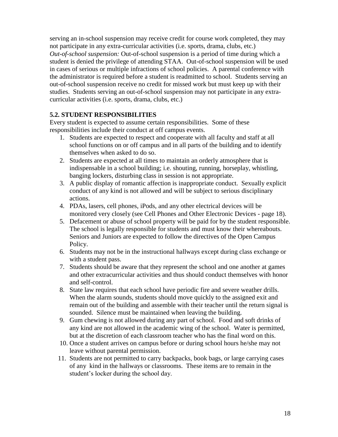serving an in-school suspension may receive credit for course work completed, they may not participate in any extra-curricular activities (i.e. sports, drama, clubs, etc.) *Out-of-school suspension:* Out-of-school suspension is a period of time during which a student is denied the privilege of attending STAA. Out-of-school suspension will be used in cases of serious or multiple infractions of school policies. A parental conference with the administrator is required before a student is readmitted to school. Students serving an out-of-school suspension receive no credit for missed work but must keep up with their studies. Students serving an out-of-school suspension may not participate in any extracurricular activities (i.e. sports, drama, clubs, etc.)

## **5.2. STUDENT RESPONSIBILITIES**

Every student is expected to assume certain responsibilities. Some of these responsibilities include their conduct at off campus events.

- 1. Students are expected to respect and cooperate with all faculty and staff at all school functions on or off campus and in all parts of the building and to identify themselves when asked to do so.
- 2. Students are expected at all times to maintain an orderly atmosphere that is indispensable in a school building; i.e. shouting, running, horseplay, whistling, banging lockers, disturbing class in session is not appropriate.
- 3. A public display of romantic affection is inappropriate conduct. Sexually explicit conduct of any kind is not allowed and will be subject to serious disciplinary actions.
- 4. PDAs, lasers, cell phones, iPods, and any other electrical devices will be monitored very closely (see Cell Phones and Other Electronic Devices - page 18).
- 5. Defacement or abuse of school property will be paid for by the student responsible. The school is legally responsible for students and must know their whereabouts. Seniors and Juniors are expected to follow the directives of the Open Campus Policy.
- 6. Students may not be in the instructional hallways except during class exchange or with a student pass.
- 7. Students should be aware that they represent the school and one another at games and other extracurricular activities and thus should conduct themselves with honor and self-control.
- 8. State law requires that each school have periodic fire and severe weather drills. When the alarm sounds, students should move quickly to the assigned exit and remain out of the building and assemble with their teacher until the return signal is sounded. Silence must be maintained when leaving the building.
- 9. Gum chewing is not allowed during any part of school. Food and soft drinks of any kind are not allowed in the academic wing of the school. Water is permitted, but at the discretion of each classroom teacher who has the final word on this.
- 10. Once a student arrives on campus before or during school hours he/she may not leave without parental permission.
- 11. Students are not permitted to carry backpacks, book bags, or large carrying cases of any kind in the hallways or classrooms. These items are to remain in the student's locker during the school day.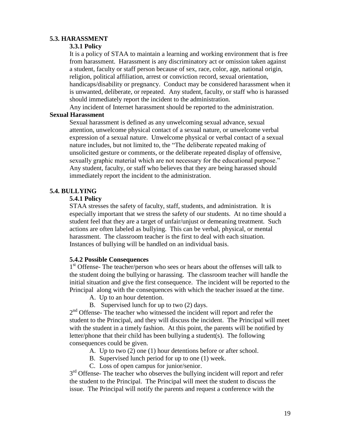#### **5.3. HARASSMENT**

#### **3.3.1 Policy**

It is a policy of STAA to maintain a learning and working environment that is free from harassment. Harassment is any discriminatory act or omission taken against a student, faculty or staff person because of sex, race, color, age, national origin, religion, political affiliation, arrest or conviction record, sexual orientation, handicaps/disability or pregnancy. Conduct may be considered harassment when it is unwanted, deliberate, or repeated. Any student, faculty, or staff who is harassed should immediately report the incident to the administration.

Any incident of Internet harassment should be reported to the administration.

## **Sexual Harassment**

Sexual harassment is defined as any unwelcoming sexual advance, sexual attention, unwelcome physical contact of a sexual nature, or unwelcome verbal expression of a sexual nature. Unwelcome physical or verbal contact of a sexual nature includes, but not limited to, the "The deliberate repeated making of unsolicited gesture or comments, or the deliberate repeated display of offensive, sexually graphic material which are not necessary for the educational purpose." Any student, faculty, or staff who believes that they are being harassed should immediately report the incident to the administration.

## **5.4. BULLYING**

#### **5.4.1 Policy**

STAA stresses the safety of faculty, staff, students, and administration. It is especially important that we stress the safety of our students. At no time should a student feel that they are a target of unfair/unjust or demeaning treatment. Such actions are often labeled as bullying. This can be verbal, physical, or mental harassment. The classroom teacher is the first to deal with each situation. Instances of bullying will be handled on an individual basis.

### **5.4.2 Possible Consequences**

1<sup>st</sup> Offense- The teacher/person who sees or hears about the offenses will talk to the student doing the bullying or harassing. The classroom teacher will handle the initial situation and give the first consequence. The incident will be reported to the Principal along with the consequences with which the teacher issued at the time.

- A. Up to an hour detention.
- B. Supervised lunch for up to two (2) days.

2<sup>nd</sup> Offense- The teacher who witnessed the incident will report and refer the student to the Principal, and they will discuss the incident. The Principal will meet with the student in a timely fashion. At this point, the parents will be notified by letter/phone that their child has been bullying a student(s). The following consequences could be given.

- A. Up to two (2) one (1) hour detentions before or after school.
- B. Supervised lunch period for up to one (1) week.
- C. Loss of open campus for junior/senior.

3<sup>rd</sup> Offense- The teacher who observes the bullying incident will report and refer the student to the Principal. The Principal will meet the student to discuss the issue. The Principal will notify the parents and request a conference with the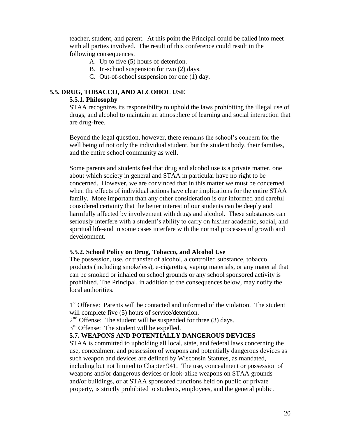teacher, student, and parent. At this point the Principal could be called into meet with all parties involved. The result of this conference could result in the following consequences.

- A. Up to five (5) hours of detention.
- B. In-school suspension for two (2) days.
- C. Out-of-school suspension for one (1) day.

### **5.5. DRUG, TOBACCO, AND ALCOHOL USE**

#### **5.5.1. Philosophy**

STAA recognizes its responsibility to uphold the laws prohibiting the illegal use of drugs, and alcohol to maintain an atmosphere of learning and social interaction that are drug-free.

Beyond the legal question, however, there remains the school's concern for the well being of not only the individual student, but the student body, their families, and the entire school community as well.

Some parents and students feel that drug and alcohol use is a private matter, one about which society in general and STAA in particular have no right to be concerned. However, we are convinced that in this matter we must be concerned when the effects of individual actions have clear implications for the entire STAA family. More important than any other consideration is our informed and careful considered certainty that the better interest of our students can be deeply and harmfully affected by involvement with drugs and alcohol. These substances can seriously interfere with a student's ability to carry on his/her academic, social, and spiritual life-and in some cases interfere with the normal processes of growth and development.

#### **5.5.2. School Policy on Drug, Tobacco, and Alcohol Use**

The possession, use, or transfer of alcohol, a controlled substance, tobacco products (including smokeless), e-cigarettes, vaping materials, or any material that can be smoked or inhaled on school grounds or any school sponsored activity is prohibited. The Principal, in addition to the consequences below, may notify the local authorities.

1<sup>st</sup> Offense: Parents will be contacted and informed of the violation. The student will complete five (5) hours of service/detention.

 $2<sup>nd</sup>$  Offense: The student will be suspended for three (3) days.

3<sup>rd</sup> Offense: The student will be expelled.

### **5.7. WEAPONS AND POTENTIALLY DANGEROUS DEVICES**

STAA is committed to upholding all local, state, and federal laws concerning the use, concealment and possession of weapons and potentially dangerous devices as such weapon and devices are defined by Wisconsin Statutes, as mandated, including but not limited to Chapter 941. The use, concealment or possession of weapons and/or dangerous devices or look-alike weapons on STAA grounds and/or buildings, or at STAA sponsored functions held on public or private property, is strictly prohibited to students, employees, and the general public.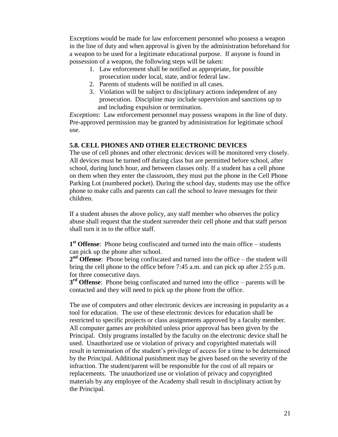Exceptions would be made for law enforcement personnel who possess a weapon in the line of duty and when approval is given by the administration beforehand for a weapon to be used for a legitimate educational purpose. If anyone is found in possession of a weapon, the following steps will be taken:

- 1. Law enforcement shall be notified as appropriate, for possible prosecution under local, state, and/or federal law.
- 2. Parents of students will be notified in all cases.
- 3. Violation will be subject to disciplinary actions independent of any prosecution. Discipline may include supervision and sanctions up to and including expulsion or termination.

*Exceptions*: Law enforcement personnel may possess weapons in the line of duty. Pre-approved permission may be granted by administration for legitimate school use.

## **5.8. CELL PHONES AND OTHER ELECTRONIC DEVICES**

The use of cell phones and other electronic devices will be monitored very closely. All devices must be turned off during class but are permitted before school, after school, during lunch hour, and between classes only. If a student has a cell phone on them when they enter the classroom, they must put the phone in the Cell Phone Parking Lot (numbered pocket). During the school day, students may use the office phone to make calls and parents can call the school to leave messages for their children.

If a student abuses the above policy, any staff member who observes the policy abuse shall request that the student surrender their cell phone and that staff person shall turn it in to the office staff.

**1 st Offense**: Phone being confiscated and turned into the main office – students can pick up the phone after school.

**2 nd Offense**: Phone being confiscated and turned into the office – the student will bring the cell phone to the office before 7:45 a.m. and can pick up after 2:55 p.m. for three consecutive days.

**3 rd Offense**: Phone being confiscated and turned into the office – parents will be contacted and they will need to pick up the phone from the office.

The use of computers and other electronic devices are increasing in popularity as a tool for education. The use of these electronic devices for education shall be restricted to specific projects or class assignments approved by a faculty member. All computer games are prohibited unless prior approval has been given by the Principal. Only programs installed by the faculty on the electronic device shall be used. Unauthorized use or violation of privacy and copyrighted materials will result in termination of the student's privilege of access for a time to be determined by the Principal. Additional punishment may be given based on the severity of the infraction. The student/parent will be responsible for the cost of all repairs or replacements. The unauthorized use or violation of privacy and copyrighted materials by any employee of the Academy shall result in disciplinary action by the Principal.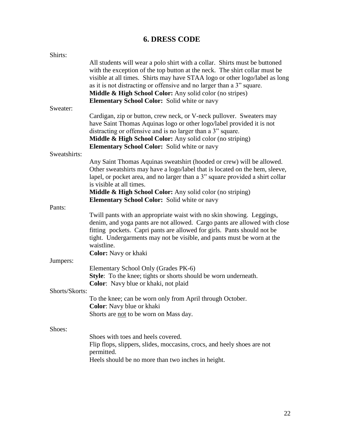## **6. DRESS CODE**

| with the exception of the top button at the neck. The shirt collar must be<br>visible at all times. Shirts may have STAA logo or other logo/label as long                                                                             |
|---------------------------------------------------------------------------------------------------------------------------------------------------------------------------------------------------------------------------------------|
|                                                                                                                                                                                                                                       |
|                                                                                                                                                                                                                                       |
|                                                                                                                                                                                                                                       |
| Any Saint Thomas Aquinas sweatshirt (hooded or crew) will be allowed.<br>Other sweatshirts may have a logo/label that is located on the hem, sleeve,<br>lapel, or pocket area, and no larger than a 3" square provided a shirt collar |
|                                                                                                                                                                                                                                       |
| denim, and yoga pants are not allowed. Cargo pants are allowed with close                                                                                                                                                             |
|                                                                                                                                                                                                                                       |
|                                                                                                                                                                                                                                       |
|                                                                                                                                                                                                                                       |
|                                                                                                                                                                                                                                       |
|                                                                                                                                                                                                                                       |
| All students will wear a polo shirt with a collar. Shirts must be buttoned                                                                                                                                                            |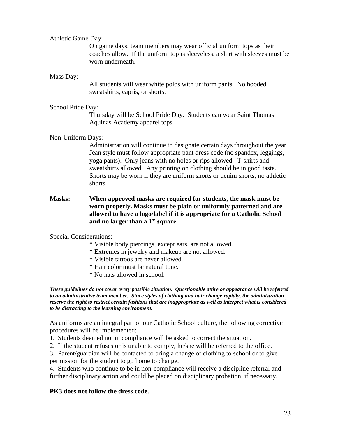#### Athletic Game Day:

On game days, team members may wear official uniform tops as their coaches allow. If the uniform top is sleeveless, a shirt with sleeves must be worn underneath.

#### Mass Day:

All students will wear white polos with uniform pants. No hooded sweatshirts, capris, or shorts.

#### School Pride Day:

Thursday will be School Pride Day. Students can wear Saint Thomas Aquinas Academy apparel tops.

### Non-Uniform Days:

Administration will continue to designate certain days throughout the year. Jean style must follow appropriate pant dress code (no spandex, leggings, yoga pants). Only jeans with no holes or rips allowed. T-shirts and sweatshirts allowed. Any printing on clothing should be in good taste. Shorts may be worn if they are uniform shorts or denim shorts; no athletic shorts.

## **Masks: When approved masks are required for students, the mask must be worn properly. Masks must be plain or uniformly patterned and are allowed to have a logo/label if it is appropriate for a Catholic School and no larger than a 1" square.**

### Special Considerations:

- \* Visible body piercings, except ears, are not allowed.
- \* Extremes in jewelry and makeup are not allowed.
- \* Visible tattoos are never allowed.
- \* Hair color must be natural tone.
- \* No hats allowed in school.

*These guidelines do not cover every possible situation. Questionable attire or appearance will be referred to an administrative team member. Since styles of clothing and hair change rapidly, the administration reserve the right to restrict certain fashions that are inappropriate as well as interpret what is considered to be distracting to the learning environment.*

As uniforms are an integral part of our Catholic School culture, the following corrective procedures will be implemented:

- 1. Students deemed not in compliance will be asked to correct the situation.
- 2. If the student refuses or is unable to comply, he/she will be referred to the office.

3. Parent/guardian will be contacted to bring a change of clothing to school or to give permission for the student to go home to change.

4. Students who continue to be in non-compliance will receive a discipline referral and further disciplinary action and could be placed on disciplinary probation, if necessary.

### **PK3 does not follow the dress code**.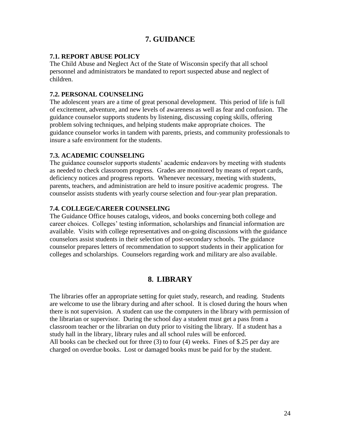## **7. GUIDANCE**

## **7.1. REPORT ABUSE POLICY**

The Child Abuse and Neglect Act of the State of Wisconsin specify that all school personnel and administrators be mandated to report suspected abuse and neglect of children.

### **7.2. PERSONAL COUNSELING**

The adolescent years are a time of great personal development. This period of life is full of excitement, adventure, and new levels of awareness as well as fear and confusion. The guidance counselor supports students by listening, discussing coping skills, offering problem solving techniques, and helping students make appropriate choices. The guidance counselor works in tandem with parents, priests, and community professionals to insure a safe environment for the students.

## **7.3. ACADEMIC COUNSELING**

The guidance counselor supports students' academic endeavors by meeting with students as needed to check classroom progress. Grades are monitored by means of report cards, deficiency notices and progress reports. Whenever necessary, meeting with students, parents, teachers, and administration are held to insure positive academic progress. The counselor assists students with yearly course selection and four-year plan preparation.

## **7.4. COLLEGE/CAREER COUNSELING**

The Guidance Office houses catalogs, videos, and books concerning both college and career choices. Colleges' testing information, scholarships and financial information are available. Visits with college representatives and on-going discussions with the guidance counselors assist students in their selection of post-secondary schools. The guidance counselor prepares letters of recommendation to support students in their application for colleges and scholarships. Counselors regarding work and military are also available.

## **8. LIBRARY**

The libraries offer an appropriate setting for quiet study, research, and reading. Students are welcome to use the library during and after school. It is closed during the hours when there is not supervision. A student can use the computers in the library with permission of the librarian or supervisor. During the school day a student must get a pass from a classroom teacher or the librarian on duty prior to visiting the library. If a student has a study hall in the library, library rules and all school rules will be enforced. All books can be checked out for three (3) to four (4) weeks. Fines of \$.25 per day are charged on overdue books. Lost or damaged books must be paid for by the student.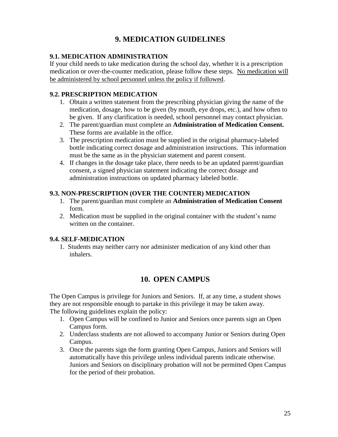# **9. MEDICATION GUIDELINES**

## **9.1. MEDICATION ADMINISTRATION**

If your child needs to take medication during the school day, whether it is a prescription medication or over-the-counter medication, please follow these steps. No medication will be administered by school personnel unless the policy if followed.

## **9.2. PRESCRIPTION MEDICATION**

- 1. Obtain a written statement from the prescribing physician giving the name of the medication, dosage, how to be given (by mouth, eye drops, etc.), and how often to be given. If any clarification is needed, school personnel may contact physician.
- 2. The parent/guardian must complete an **Administration of Medication Consent.** These forms are available in the office.
- 3. The prescription medication must be supplied in the original pharmacy-labeled bottle indicating correct dosage and administration instructions. This information must be the same as in the physician statement and parent consent.
- 4. If changes in the dosage take place, there needs to be an updated parent/guardian consent, a signed physician statement indicating the correct dosage and administration instructions on updated pharmacy labeled bottle.

## **9.3. NON-PRESCRIPTION (OVER THE COUNTER) MEDICATION**

- 1. The parent/guardian must complete an **Administration of Medication Consent**  form.
- 2. Medication must be supplied in the original container with the student's name written on the container.

## **9.4. SELF-MEDICATION**

 1. Students may neither carry nor administer medication of any kind other than inhalers.

## **10. OPEN CAMPUS**

The Open Campus is privilege for Juniors and Seniors. If, at any time, a student shows they are not responsible enough to partake in this privilege it may be taken away. The following guidelines explain the policy:

- 1. Open Campus will be confined to Junior and Seniors once parents sign an Open Campus form.
- 2. Underclass students are not allowed to accompany Junior or Seniors during Open Campus.
- 3. Once the parents sign the form granting Open Campus, Juniors and Seniors will automatically have this privilege unless individual parents indicate otherwise. Juniors and Seniors on disciplinary probation will not be permitted Open Campus for the period of their probation.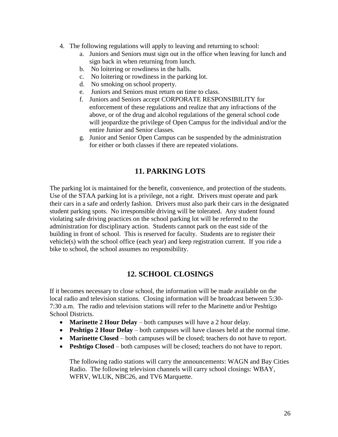- 4. The following regulations will apply to leaving and returning to school:
	- a. Juniors and Seniors must sign out in the office when leaving for lunch and sign back in when returning from lunch.
	- b. No loitering or rowdiness in the halls.
	- c. No loitering or rowdiness in the parking lot.
	- d. No smoking on school property.
	- e. Juniors and Seniors must return on time to class.
	- f. Juniors and Seniors accept CORPORATE RESPONSIBILITY for enforcement of these regulations and realize that any infractions of the above, or of the drug and alcohol regulations of the general school code will jeopardize the privilege of Open Campus for the individual and/or the entire Junior and Senior classes.
	- g. Junior and Senior Open Campus can be suspended by the administration for either or both classes if there are repeated violations.

## **11. PARKING LOTS**

The parking lot is maintained for the benefit, convenience, and protection of the students. Use of the STAA parking lot is a privilege, not a right. Drivers must operate and park their cars in a safe and orderly fashion. Drivers must also park their cars in the designated student parking spots. No irresponsible driving will be tolerated. Any student found violating safe driving practices on the school parking lot will be referred to the administration for disciplinary action. Students cannot park on the east side of the building in front of school. This is reserved for faculty. Students are to register their vehicle(s) with the school office (each year) and keep registration current. If you ride a bike to school, the school assumes no responsibility.

## **12. SCHOOL CLOSINGS**

If it becomes necessary to close school, the information will be made available on the local radio and television stations. Closing information will be broadcast between 5:30- 7:30 a.m. The radio and television stations will refer to the Marinette and/or Peshtigo School Districts.

- **Marinette 2 Hour Delay** both campuses will have a 2 hour delay.
- **Peshtigo 2 Hour Delay** both campuses will have classes held at the normal time.
- **Marinette Closed** both campuses will be closed; teachers do not have to report.
- **Peshtigo Closed** both campuses will be closed; teachers do not have to report.

The following radio stations will carry the announcements: WAGN and Bay Cities Radio. The following television channels will carry school closings: WBAY, WFRV, WLUK, NBC26, and TV6 Marquette.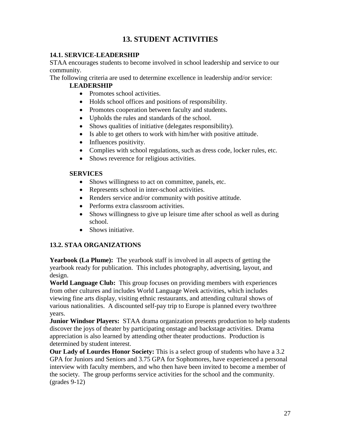## **13. STUDENT ACTIVITIES**

## **14.1. SERVICE-LEADERSHIP**

STAA encourages students to become involved in school leadership and service to our community.

The following criteria are used to determine excellence in leadership and/or service:

## **LEADERSHIP**

- Promotes school activities.
- Holds school offices and positions of responsibility.
- Promotes cooperation between faculty and students.
- Upholds the rules and standards of the school.
- Shows qualities of initiative (delegates responsibility).
- Is able to get others to work with him/her with positive attitude.
- Influences positivity.
- Complies with school regulations, such as dress code, locker rules, etc.
- Shows reverence for religious activities.

## **SERVICES**

- Shows willingness to act on committee, panels, etc.
- Represents school in inter-school activities.
- Renders service and/or community with positive attitude.
- Performs extra classroom activities.
- Shows willingness to give up leisure time after school as well as during school.
- Shows initiative.

## **13.2. STAA ORGANIZATIONS**

**Yearbook (La Plume):** The yearbook staff is involved in all aspects of getting the yearbook ready for publication. This includes photography, advertising, layout, and design.

**World Language Club:** This group focuses on providing members with experiences from other cultures and includes World Language Week activities, which includes viewing fine arts display, visiting ethnic restaurants, and attending cultural shows of various nationalities. A discounted self-pay trip to Europe is planned every two/three years.

**Junior Windsor Players:** STAA drama organization presents production to help students discover the joys of theater by participating onstage and backstage activities. Drama appreciation is also learned by attending other theater productions. Production is determined by student interest.

**Our Lady of Lourdes Honor Society:** This is a select group of students who have a 3.2 GPA for Juniors and Seniors and 3.75 GPA for Sophomores, have experienced a personal interview with faculty members, and who then have been invited to become a member of the society. The group performs service activities for the school and the community. (grades 9-12)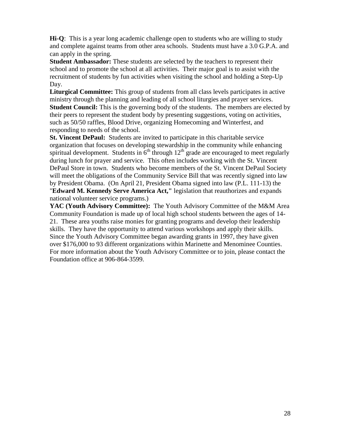**Hi-Q**: This is a year long academic challenge open to students who are willing to study and complete against teams from other area schools. Students must have a 3.0 G.P.A. and can apply in the spring.

**Student Ambassador:** These students are selected by the teachers to represent their school and to promote the school at all activities. Their major goal is to assist with the recruitment of students by fun activities when visiting the school and holding a Step-Up Day.

**Liturgical Committee:** This group of students from all class levels participates in active ministry through the planning and leading of all school liturgies and prayer services. **Student Council:** This is the governing body of the students. The members are elected by their peers to represent the student body by presenting suggestions, voting on activities, such as 50/50 raffles, Blood Drive, organizing Homecoming and Winterfest, and responding to needs of the school.

**St. Vincent DePaul:** Students are invited to participate in this charitable service organization that focuses on developing stewardship in the community while enhancing spiritual development. Students in  $6<sup>th</sup>$  through  $12<sup>th</sup>$  grade are encouraged to meet regularly during lunch for prayer and service. This often includes working with the St. Vincent DePaul Store in town. Students who become members of the St. Vincent DePaul Society will meet the obligations of the Community Service Bill that was recently signed into law by President Obama. (On April 21, President Obama signed into law (P.L. 111-13) the "**Edward M. Kennedy Serve America Act,"** legislation that reauthorizes and expands national volunteer service programs.)

YAC (Youth Advisory Committee): The Youth Advisory Committee of the M&M Area Community Foundation is made up of local high school students between the ages of 14- 21. These area youths raise monies for granting programs and develop their leadership skills. They have the opportunity to attend various workshops and apply their skills. Since the Youth Advisory Committee began awarding grants in 1997, they have given over \$176,000 to 93 different organizations within Marinette and Menominee Counties. For more information about the Youth Advisory Committee or to join, please contact the Foundation office at 906-864-3599.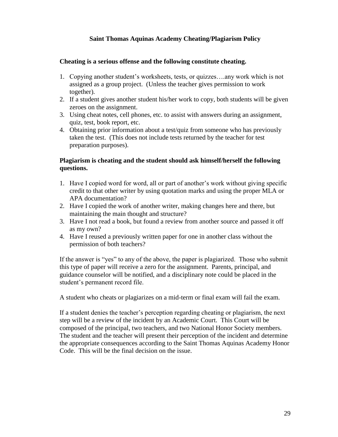## **Saint Thomas Aquinas Academy Cheating/Plagiarism Policy**

### **Cheating is a serious offense and the following constitute cheating.**

- 1. Copying another student's worksheets, tests, or quizzes….any work which is not assigned as a group project. (Unless the teacher gives permission to work together).
- 2. If a student gives another student his/her work to copy, both students will be given zeroes on the assignment.
- 3. Using cheat notes, cell phones, etc. to assist with answers during an assignment, quiz, test, book report, etc.
- 4. Obtaining prior information about a test/quiz from someone who has previously taken the test. (This does not include tests returned by the teacher for test preparation purposes).

## **Plagiarism is cheating and the student should ask himself/herself the following questions.**

- 1. Have I copied word for word, all or part of another's work without giving specific credit to that other writer by using quotation marks and using the proper MLA or APA documentation?
- 2. Have I copied the work of another writer, making changes here and there, but maintaining the main thought and structure?
- 3. Have I not read a book, but found a review from another source and passed it off as my own?
- 4. Have I reused a previously written paper for one in another class without the permission of both teachers?

If the answer is "yes" to any of the above, the paper is plagiarized. Those who submit this type of paper will receive a zero for the assignment. Parents, principal, and guidance counselor will be notified, and a disciplinary note could be placed in the student's permanent record file.

A student who cheats or plagiarizes on a mid-term or final exam will fail the exam.

If a student denies the teacher's perception regarding cheating or plagiarism, the next step will be a review of the incident by an Academic Court. This Court will be composed of the principal, two teachers, and two National Honor Society members. The student and the teacher will present their perception of the incident and determine the appropriate consequences according to the Saint Thomas Aquinas Academy Honor Code. This will be the final decision on the issue.